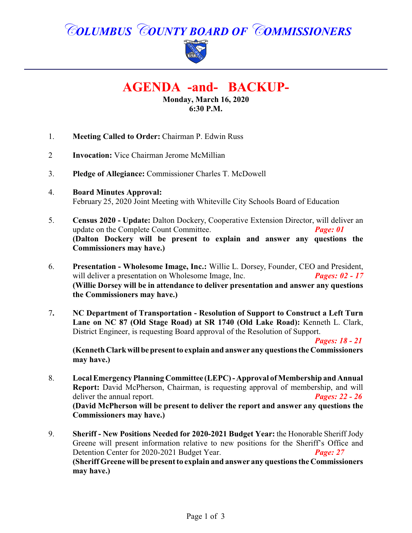# *COLUMBUS COUNTY BOARD OF COMMISSIONERS*



## **AGENDA -and- BACKUP-**

**Monday, March 16, 2020 6:30 P.M.**

- 1. **Meeting Called to Order:** Chairman P. Edwin Russ
- 2 **Invocation:** Vice Chairman Jerome McMillian
- 3. **Pledge of Allegiance:** Commissioner Charles T. McDowell
- 4. **Board Minutes Approval:** February 25, 2020 Joint Meeting with Whiteville City Schools Board of Education
- 5. **Census 2020 Update:** Dalton Dockery, Cooperative Extension Director, will deliver an update on the Complete Count Committee. *Page: 01* **(Dalton Dockery will be present to explain and answer any questions the Commissioners may have.)**
- 6. **Presentation Wholesome Image, Inc.:** Willie L. Dorsey, Founder, CEO and President, will deliver a presentation on Wholesome Image, Inc. **Pages:** 02 - 17 **(Willie Dorsey will be in attendance to deliver presentation and answer any questions the Commissioners may have.)**
- 7**. NC Department of Transportation Resolution of Support to Construct a Left Turn Lane on NC 87 (Old Stage Road) at SR 1740 (Old Lake Road):** Kenneth L. Clark, District Engineer, is requesting Board approval of the Resolution of Support.

*Pages: 18 - 21*

**(Kenneth Clarkwill bepresent to explain and answer any questions the Commissioners may have.)**

- 8. **Local Emergency Planning Committee (LEPC) -Approval ofMembership and Annual Report:** David McPherson, Chairman, is requesting approval of membership, and will deliver the annual report. *Pages: 22 - 26* **(David McPherson will be present to deliver the report and answer any questions the Commissioners may have.)**
- 9. **Sheriff New Positions Needed for 2020-2021 Budget Year:** the Honorable Sheriff Jody Greene will present information relative to new positions for the Sheriff's Office and Detention Center for 2020-2021 Budget Year. *Page: 27* **(Sheriff Greene will be present to explain and answer any questions the Commissioners may have.)**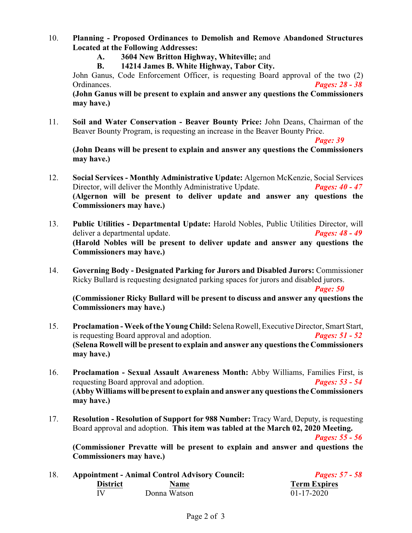- 10. **Planning - Proposed Ordinances to Demolish and Remove Abandoned Structures Located at the Following Addresses:**
	- **A. 3604 New Britton Highway, Whiteville;** and
	- **B. 14214 James B. White Highway, Tabor City.**

John Ganus, Code Enforcement Officer, is requesting Board approval of the two (2) Ordinances. *Pages: 28 - 38*

**(John Ganus will be present to explain and answer any questions the Commissioners may have.)**

11. **Soil and Water Conservation - Beaver Bounty Price:** John Deans, Chairman of the Beaver Bounty Program, is requesting an increase in the Beaver Bounty Price.

*Page: 39* 

**(John Deans will be present to explain and answer any questions the Commissioners may have.)**

- 12. **Social Services Monthly Administrative Update:** Algernon McKenzie, Social Services Director, will deliver the Monthly Administrative Update. *Pages: 40 - 47* **(Algernon will be present to deliver update and answer any questions the Commissioners may have.)**
- 13. **Public Utilities Departmental Update:** Harold Nobles, Public Utilities Director, will deliver a departmental update. *Pages: 48 - 49* **(Harold Nobles will be present to deliver update and answer any questions the Commissioners may have.)**
- 14. **Governing Body Designated Parking for Jurors and Disabled Jurors:** Commissioner Ricky Bullard is requesting designated parking spaces for jurors and disabled jurors.

*Page: 50*

**(Commissioner Ricky Bullard will be present to discuss and answer any questions the Commissioners may have.)**

- 15. **Proclamation Week ofthe Young Child:** Selena Rowell, Executive Director, Smart Start, is requesting Board approval and adoption. *Pages: 51 - 52* **(Selena Rowell will be present to explain and answer any questions the Commissioners may have.)**
- 16. **Proclamation Sexual Assault Awareness Month:** Abby Williams, Families First, is requesting Board approval and adoption. *Pages: 53 - 54* **(Abby Williams willbepresent to explain and answer any questions the Commissioners may have.)**
- 17. **Resolution Resolution of Support for 988 Number:** Tracy Ward, Deputy, is requesting Board approval and adoption. **This item was tabled at the March 02, 2020 Meeting.**

*Pages: 55 - 56*

**(Commissioner Prevatte will be present to explain and answer and questions the Commissioners may have.)**

18. **Appointment - Animal Control Advisory Council:** *Pages: 57 - 58* **District**<br> **Name Donna Watson**<br> **Name Term Expires**<br> **Name Term Expires**<br> **Name O1-17-2020** Donna Watson  $01-17-2020$